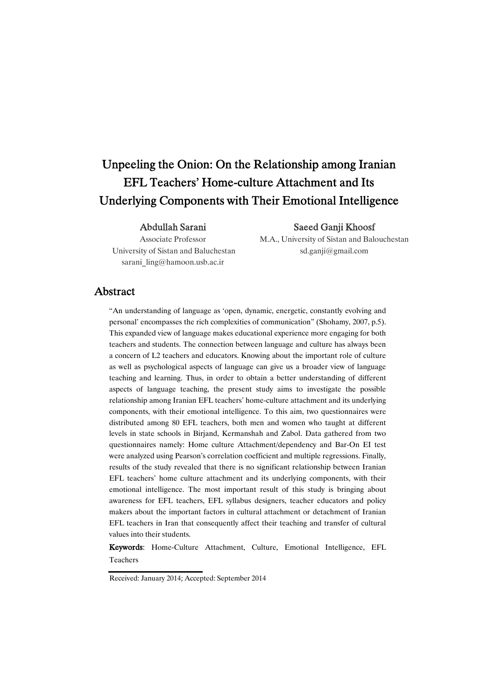# Unpeeling the Onion: On the Relationship among Iranian EFL Teachers' Home-culture Attachment and Its Underlying Components with Their Emotional Intelligence

#### Abdullah Sarani

Associate Professor University of Sistan and Baluchestan sarani\_ling@hamoon.usb.ac.ir

Saeed Ganji Khoosf

M.A., University of Sistan and Balouchestan sd.ganji@gmail.com

## Abstract

"An understanding of language as 'open, dynamic, energetic, constantly evolving and personal' encompasses the rich complexities of communication" (Shohamy, 2007, p.5). This expanded view of language makes educational experience more engaging for both teachers and students. The connection between language and culture has always been a concern of L2 teachers and educators. Knowing about the important role of culture as well as psychological aspects of language can give us a broader view of language teaching and learning. Thus, in order to obtain a better understanding of different aspects of language teaching, the present study aims to investigate the possible relationship among Iranian EFL teachers' home-culture attachment and its underlying components, with their emotional intelligence. To this aim, two questionnaires were distributed among 80 EFL teachers, both men and women who taught at different levels in state schools in Birjand, Kermanshah and Zabol. Data gathered from two questionnaires namely: Home culture Attachment/dependency and Bar-On EI test were analyzed using Pearson's correlation coefficient and multiple regressions. Finally, results of the study revealed that there is no significant relationship between Iranian EFL teachers' home culture attachment and its underlying components, with their emotional intelligence. The most important result of this study is bringing about awareness for EFL teachers, EFL syllabus designers, teacher educators and policy makers about the important factors in cultural attachment or detachment of Iranian EFL teachers in Iran that consequently affect their teaching and transfer of cultural values into their students.

Keywords: Home-Culture Attachment, Culture, Emotional Intelligence, EFL Teachers

Received: January 2014; Accepted: September 2014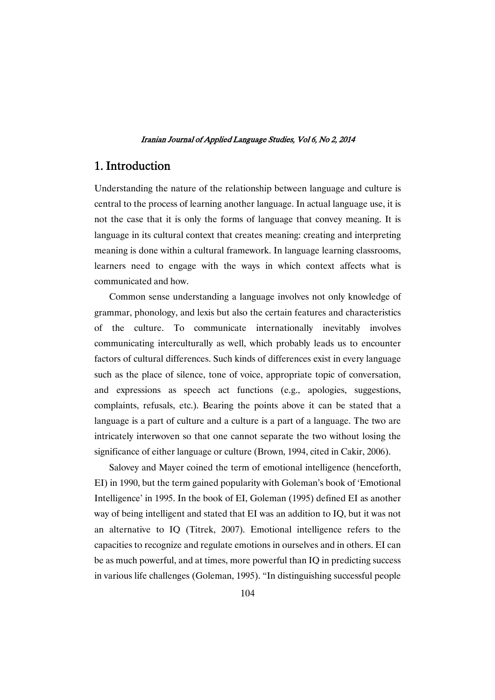# 1.Introduction

Understanding the nature of the relationship between language and culture is central to the process of learning another language. In actual language use, it is not the case that it is only the forms of language that convey meaning. It is language in its cultural context that creates meaning: creating and interpreting meaning is done within a cultural framework. In language learning classrooms, learners need to engage with the ways in which context affects what is communicated and how.

Common sense understanding a language involves not only knowledge of grammar, phonology, and lexis but also the certain features and characteristics of the culture. To communicate internationally inevitably involves communicating interculturally as well, which probably leads us to encounter factors of cultural differences. Such kinds of differences exist in every language such as the place of silence, tone of voice, appropriate topic of conversation, and expressions as speech act functions (e.g., apologies, suggestions, complaints, refusals, etc.). Bearing the points above it can be stated that a language is a part of culture and a culture is a part of a language. The two are intricately interwoven so that one cannot separate the two without losing the significance of either language or culture (Brown, 1994, cited in Cakir, 2006).

Salovey and Mayer coined the term of emotional intelligence (henceforth, EI) in 1990, but the term gained popularity with Goleman's book of 'Emotional Intelligence' in 1995. In the book of EI, Goleman (1995) defined EI as another way of being intelligent and stated that EI was an addition to IQ, but it was not an alternative to IQ (Titrek, 2007). Emotional intelligence refers to the capacities to recognize and regulate emotions in ourselves and in others. EI can be as much powerful, and at times, more powerful than IQ in predicting success in various life challenges (Goleman, 1995). "In distinguishing successful people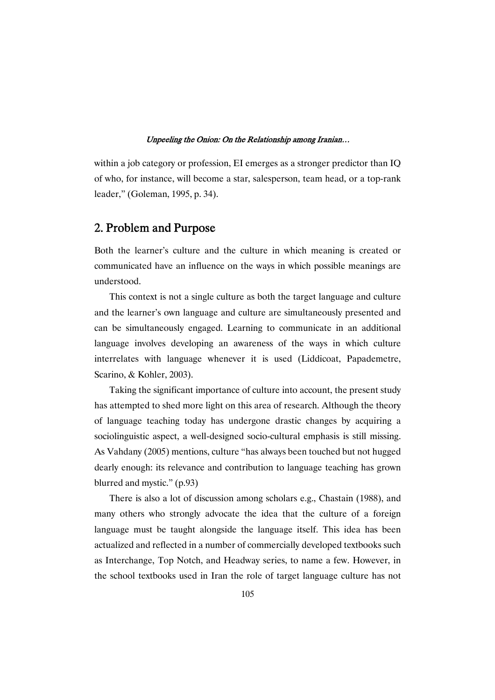within a job category or profession, EI emerges as a stronger predictor than IQ of who, for instance, will become a star, salesperson, team head, or a top-rank leader," (Goleman, 1995, p. 34).

# 2. Problem and Purpose

Both the learner's culture and the culture in which meaning is created or communicated have an influence on the ways in which possible meanings are understood.

This context is not a single culture as both the target language and culture and the learner's own language and culture are simultaneously presented and can be simultaneously engaged. Learning to communicate in an additional language involves developing an awareness of the ways in which culture interrelates with language whenever it is used (Liddicoat, Papademetre, Scarino, & Kohler, 2003).

Taking the significant importance of culture into account, the present study has attempted to shed more light on this area of research. Although the theory of language teaching today has undergone drastic changes by acquiring a sociolinguistic aspect, a well-designed socio-cultural emphasis is still missing. As Vahdany (2005) mentions, culture "has always been touched but not hugged dearly enough: its relevance and contribution to language teaching has grown blurred and mystic." (p.93)

There is also a lot of discussion among scholars e.g., Chastain (1988), and many others who strongly advocate the idea that the culture of a foreign language must be taught alongside the language itself. This idea has been actualized and reflected in a number of commercially developed textbooks such as Interchange, Top Notch, and Headway series, to name a few. However, in the school textbooks used in Iran the role of target language culture has not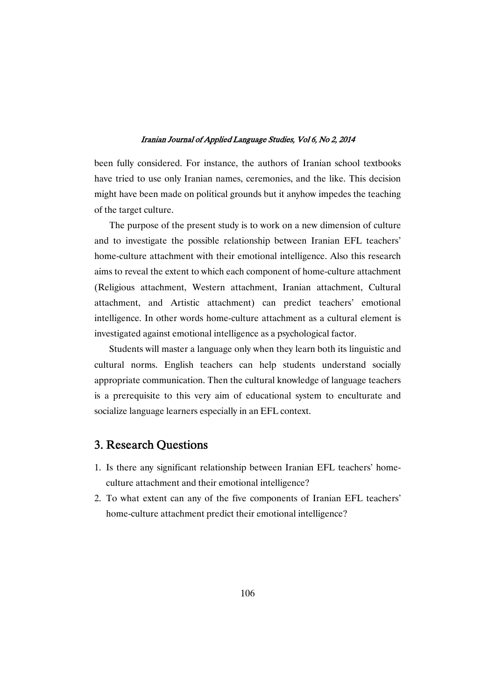been fully considered. For instance, the authors of Iranian school textbooks have tried to use only Iranian names, ceremonies, and the like. This decision might have been made on political grounds but it anyhow impedes the teaching of the target culture.

The purpose of the present study is to work on a new dimension of culture and to investigate the possible relationship between Iranian EFL teachers' home-culture attachment with their emotional intelligence. Also this research aims to reveal the extent to which each component of home-culture attachment (Religious attachment, Western attachment, Iranian attachment, Cultural attachment, and Artistic attachment) can predict teachers' emotional intelligence. In other words home-culture attachment as a cultural element is investigated against emotional intelligence as a psychological factor.

Students will master a language only when they learn both its linguistic and cultural norms. English teachers can help students understand socially appropriate communication. Then the cultural knowledge of language teachers is a prerequisite to this very aim of educational system to enculturate and socialize language learners especially in an EFL context.

# 3. Research Questions

- 1. Is there any significant relationship between Iranian EFL teachers' homeculture attachment and their emotional intelligence?
- 2. To what extent can any of the five components of Iranian EFL teachers' home-culture attachment predict their emotional intelligence?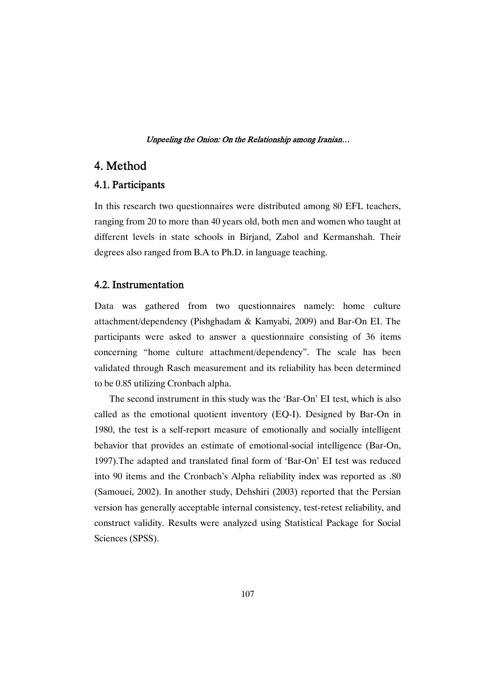# 4.Method

### 4.1.Participants

In this research two questionnaires were distributed among 80 EFL teachers, ranging from 20 to more than 40 years old, both men and women who taught at different levels in state schools in Birjand, Zabol and Kermanshah. Their degrees also ranged from B.A to Ph.D. in language teaching.

### 4.2.Instrumentation

Data was gathered from two questionnaires namely: home culture attachment/dependency (Pishghadam & Kamyabi, 2009) and Bar-On EI. The participants were asked to answer a questionnaire consisting of 36 items concerning "home culture attachment/dependency". The scale has been validated through Rasch measurement and its reliability has been determined to be 0.85 utilizing Cronbach alpha.

The second instrument in this study was the 'Bar-On' EI test, which is also called as the emotional quotient inventory (EQ-I). Designed by Bar-On in 1980, the test is a self-report measure of emotionally and socially intelligent behavior that provides an estimate of emotional-social intelligence (Bar-On, 1997).The adapted and translated final form of 'Bar-On' EI test was reduced into 90 items and the Cronbach's Alpha reliability index was reported as .80 (Samouei, 2002). In another study, Dehshiri (2003) reported that the Persian version has generally acceptable internal consistency, test-retest reliability, and construct validity. Results were analyzed using Statistical Package for Social Sciences (SPSS).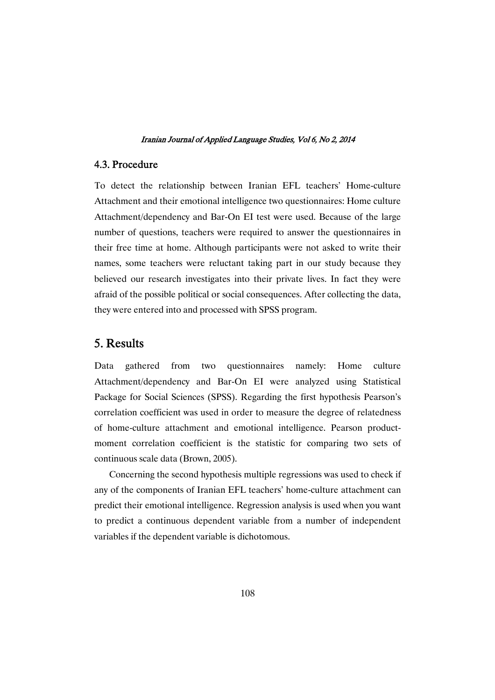### 4.3.Procedure

To detect the relationship between Iranian EFL teachers' Home-culture Attachment and their emotional intelligence two questionnaires: Home culture Attachment/dependency and Bar-On EI test were used. Because of the large number of questions, teachers were required to answer the questionnaires in their free time at home. Although participants were not asked to write their names, some teachers were reluctant taking part in our study because they believed our research investigates into their private lives. In fact they were afraid of the possible political or social consequences. After collecting the data, they were entered into and processed with SPSS program.

# 5.Results

Data gathered from two questionnaires namely: Home culture Attachment/dependency and Bar-On EI were analyzed using Statistical Package for Social Sciences (SPSS). Regarding the first hypothesis Pearson's correlation coefficient was used in order to measure the degree of relatedness of home-culture attachment and emotional intelligence. Pearson productmoment correlation coefficient is the statistic for comparing two sets of continuous scale data (Brown, 2005).

Concerning the second hypothesis multiple regressions was used to check if any of the components of Iranian EFL teachers' home-culture attachment can predict their emotional intelligence. Regression analysis is used when you want to predict a continuous dependent variable from a number of independent variables if the dependent variable is dichotomous.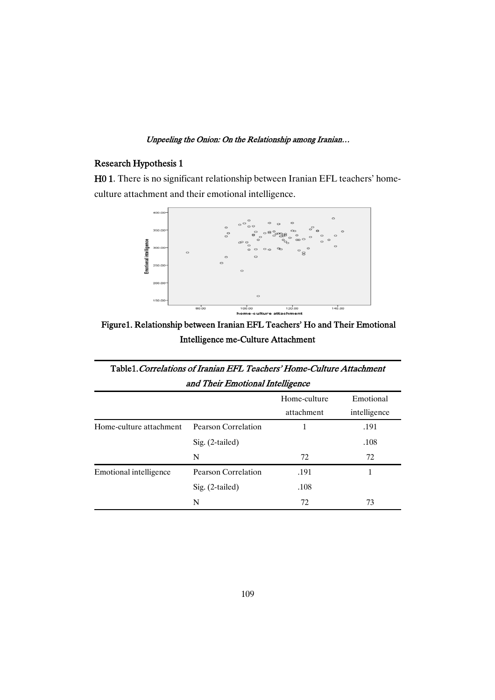# Research Hypothesis 1

H01. There is no significant relationship between Iranian EFL teachers' homeculture attachment and their emotional intelligence.



Figure1. Relationship between Iranian EFL Teachers' Ho and Their Emotional Intelligence me-Culture Attachment

| Table1. Correlations of Iranian EFL Teachers' Home-Culture Attachment<br>and Their Emotional Intelligence |                     |      |      |  |  |
|-----------------------------------------------------------------------------------------------------------|---------------------|------|------|--|--|
|                                                                                                           |                     |      |      |  |  |
| Home-culture attachment                                                                                   | Pearson Correlation |      | .191 |  |  |
|                                                                                                           | $Sig. (2-tailed)$   |      | .108 |  |  |
|                                                                                                           | N                   | 72   | 72   |  |  |
| Emotional intelligence                                                                                    | Pearson Correlation | .191 | 1    |  |  |
|                                                                                                           | Sig. (2-tailed)     | .108 |      |  |  |
|                                                                                                           | N                   | 72   | 73   |  |  |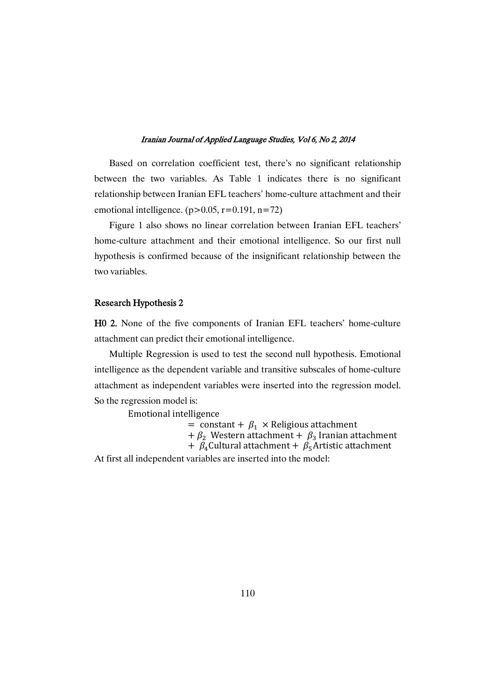Based on correlation coefficient test, there's no significant relationship between the two variables. As Table 1 indicates there is no significant relationship between Iranian EFL teachers' home-culture attachment and their emotional intelligence.  $(p>0.05, r=0.191, n=72)$ 

Figure 1 also shows no linear correlation between Iranian EFL teachers' home-culture attachment and their emotional intelligence. So our first null hypothesis is confirmed because of the insignificant relationship between the two variables.

### Research Hypothesis 2

H0 2. None of the five components of Iranian EFL teachers' home-culture attachment can predict their emotional intelligence.

Multiple Regression is used to test the second null hypothesis. Emotional intelligence as the dependent variable and transitive subscales of home-culture attachment as independent variables were inserted into the regression model. So the regression model is:

Emotional intelligence

= constant +  $\beta_1 \times$  Religious attachment

+  $\beta_2$  Western attachment +  $\beta_3$  Iranian attachment

+  $\beta_4$ Cultural attachment +  $\beta_5$ Artistic attachment

At first all independent variables are inserted into the model: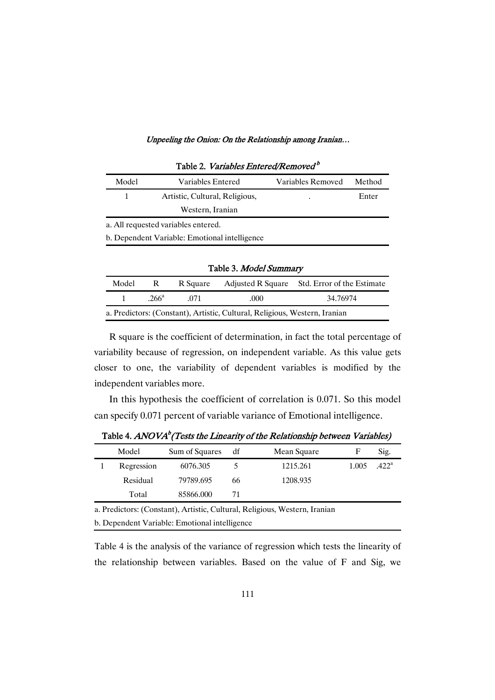| Taon 2. T <i>amaons Emicrea/Kemoved</i>       |                                     |                   |        |  |  |  |
|-----------------------------------------------|-------------------------------------|-------------------|--------|--|--|--|
| Model                                         | Variables Entered                   | Variables Removed | Method |  |  |  |
|                                               | Artistic, Cultural, Religious,      |                   | Enter  |  |  |  |
|                                               | Western, Iranian                    |                   |        |  |  |  |
|                                               | a. All requested variables entered. |                   |        |  |  |  |
| b. Dependent Variable: Emotional intelligence |                                     |                   |        |  |  |  |

### Table 2. Variables Entered/Removed<sup>b</sup>

| Table 3. Model Summary                                                     |               |          |      |                                              |  |
|----------------------------------------------------------------------------|---------------|----------|------|----------------------------------------------|--|
| Model                                                                      | $R_{\perp}$   | R Square |      | Adjusted R Square Std. Error of the Estimate |  |
| 1                                                                          | $266^{\circ}$ | -071     | .000 | 34.76974                                     |  |
| a. Predictors: (Constant), Artistic, Cultural, Religious, Western, Iranian |               |          |      |                                              |  |

R square is the coefficient of determination, in fact the total percentage of variability because of regression, on independent variable. As this value gets closer to one, the variability of dependent variables is modified by the independent variables more.

In this hypothesis the coefficient of correlation is 0.071. So this model can specify 0.071 percent of variable variance of Emotional intelligence.

| Model      | Sum of Squares | df | Mean Square |       | Sig.           |
|------------|----------------|----|-------------|-------|----------------|
| Regression | 6076.305       |    | 1215.261    | 1.005 | $.422^{\rm a}$ |
| Residual   | 79789.695      | 66 | 1208.935    |       |                |
| Total      | 85866.000      |    |             |       |                |
|            |                |    |             |       |                |

Table 4.  $ANOVA^{b}$  (Tests the Linearity of the Relationship between Variables)

a. Predictors: (Constant), Artistic, Cultural, Religious, Western, Iranian

b. Dependent Variable: Emotional intelligence

Table 4 is the analysis of the variance of regression which tests the linearity of the relationship between variables. Based on the value of F and Sig, we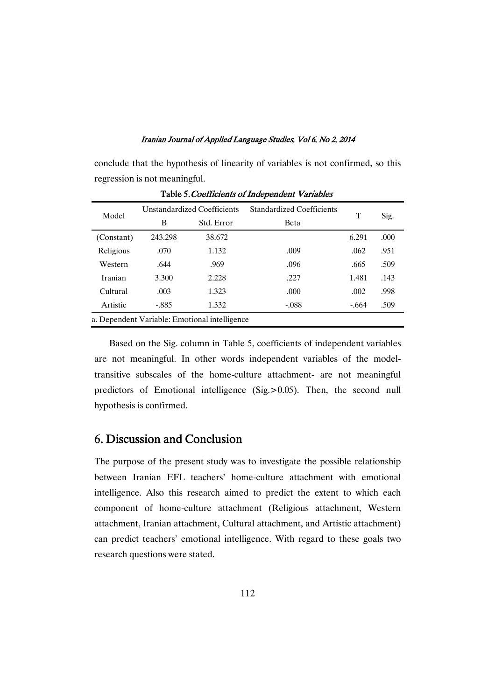conclude that the hypothesis of linearity of variables is not confirmed, so this regression is not meaningful.

| Model                                         | Unstandardized Coefficients |            | <b>Standardized Coefficients</b> | т     |      |  |  |
|-----------------------------------------------|-----------------------------|------------|----------------------------------|-------|------|--|--|
|                                               | B                           | Std. Error | Beta                             |       | Sig. |  |  |
| (Constant)                                    | 243.298                     | 38.672     |                                  | 6.291 | .000 |  |  |
| Religious                                     | .070                        | 1.132      | .009                             | .062  | .951 |  |  |
| Western                                       | .644                        | .969       | .096                             | .665  | .509 |  |  |
| Iranian                                       | 3.300                       | 2.228      | .227                             | 1.481 | .143 |  |  |
| Cultural                                      | .003                        | 1.323      | .000                             | .002  | .998 |  |  |
| Artistic                                      | $-.885$                     | 1.332      | $-.088$                          | -.664 | .509 |  |  |
| a. Dependent Variable: Emotional intelligence |                             |            |                                  |       |      |  |  |

Table 5. Coefficients of Independent Variables

Based on the Sig. column in Table 5, coefficients of independent variables are not meaningful. In other words independent variables of the modeltransitive subscales of the home-culture attachment- are not meaningful predictors of Emotional intelligence (Sig.>0.05). Then, the second null hypothesis is confirmed.

# 6. Discussion and Conclusion

The purpose of the present study was to investigate the possible relationship between Iranian EFL teachers' home-culture attachment with emotional intelligence. Also this research aimed to predict the extent to which each component of home-culture attachment (Religious attachment, Western attachment, Iranian attachment, Cultural attachment, and Artistic attachment) can predict teachers' emotional intelligence. With regard to these goals two research questions were stated.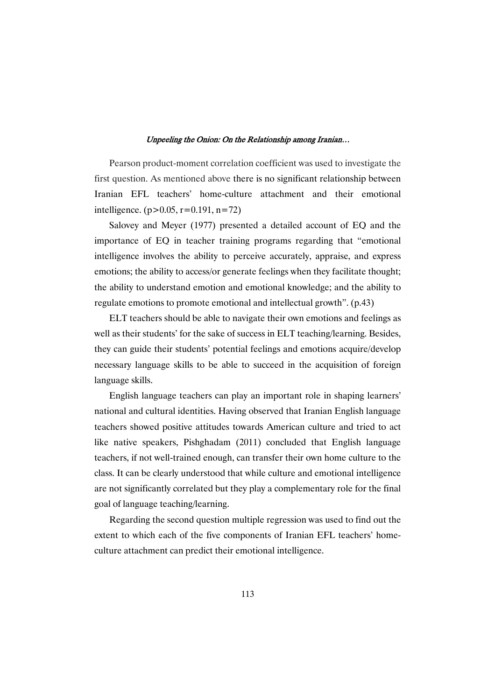Pearson product-moment correlation coefficient was used to investigate the first question. As mentioned above there is no significant relationship between Iranian EFL teachers' home-culture attachment and their emotional intelligence. ( $p > 0.05$ ,  $r = 0.191$ ,  $n = 72$ )

Salovey and Meyer (1977) presented a detailed account of EQ and the importance of EQ in teacher training programs regarding that "emotional intelligence involves the ability to perceive accurately, appraise, and express emotions; the ability to access/or generate feelings when they facilitate thought; the ability to understand emotion and emotional knowledge; and the ability to regulate emotions to promote emotional and intellectual growth". (p.43)

ELT teachers should be able to navigate their own emotions and feelings as well as their students' for the sake of success in ELT teaching/learning. Besides, they can guide their students' potential feelings and emotions acquire/develop necessary language skills to be able to succeed in the acquisition of foreign language skills.

English language teachers can play an important role in shaping learners' national and cultural identities. Having observed that Iranian English language teachers showed positive attitudes towards American culture and tried to act like native speakers, Pishghadam (2011) concluded that English language teachers, if not well-trained enough, can transfer their own home culture to the class. It can be clearly understood that while culture and emotional intelligence are not significantly correlated but they play a complementary role for the final goal of language teaching/learning.

Regarding the second question multiple regression was used to find out the extent to which each of the five components of Iranian EFL teachers' homeculture attachment can predict their emotional intelligence.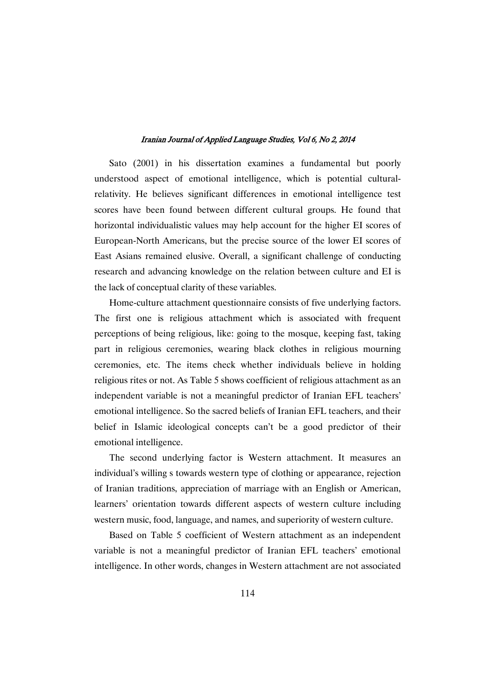Sato (2001) in his dissertation examines a fundamental but poorly understood aspect of emotional intelligence, which is potential culturalrelativity. He believes significant differences in emotional intelligence test scores have been found between different cultural groups. He found that horizontal individualistic values may help account for the higher EI scores of European-North Americans, but the precise source of the lower EI scores of East Asians remained elusive. Overall, a significant challenge of conducting research and advancing knowledge on the relation between culture and EI is the lack of conceptual clarity of these variables.

Home-culture attachment questionnaire consists of five underlying factors. The first one is religious attachment which is associated with frequent perceptions of being religious, like: going to the mosque, keeping fast, taking part in religious ceremonies, wearing black clothes in religious mourning ceremonies, etc. The items check whether individuals believe in holding religious rites or not. As Table 5 shows coefficient of religious attachment as an independent variable is not a meaningful predictor of Iranian EFL teachers' emotional intelligence. So the sacred beliefs of Iranian EFL teachers, and their belief in Islamic ideological concepts can't be a good predictor of their emotional intelligence.

The second underlying factor is Western attachment. It measures an individual's willing s towards western type of clothing or appearance, rejection of Iranian traditions, appreciation of marriage with an English or American, learners' orientation towards different aspects of western culture including western music, food, language, and names, and superiority of western culture.

Based on Table 5 coefficient of Western attachment as an independent variable is not a meaningful predictor of Iranian EFL teachers' emotional intelligence. In other words, changes in Western attachment are not associated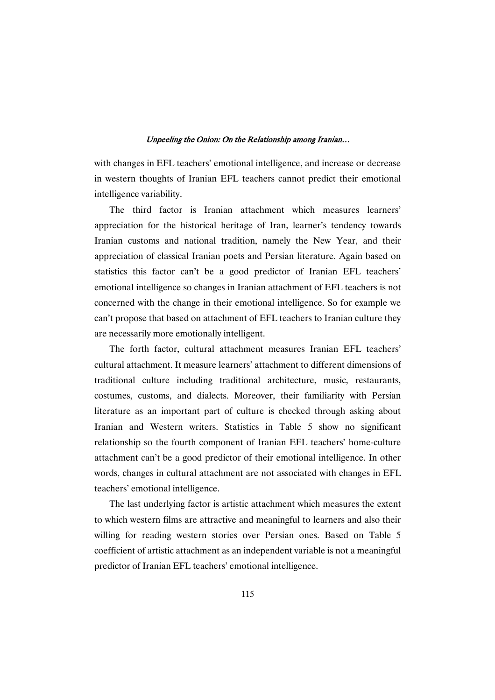with changes in EFL teachers' emotional intelligence, and increase or decrease in western thoughts of Iranian EFL teachers cannot predict their emotional intelligence variability.

The third factor is Iranian attachment which measures learners' appreciation for the historical heritage of Iran, learner's tendency towards Iranian customs and national tradition, namely the New Year, and their appreciation of classical Iranian poets and Persian literature. Again based on statistics this factor can't be a good predictor of Iranian EFL teachers' emotional intelligence so changes in Iranian attachment of EFL teachers is not concerned with the change in their emotional intelligence. So for example we can't propose that based on attachment of EFL teachers to Iranian culture they are necessarily more emotionally intelligent.

The forth factor, cultural attachment measures Iranian EFL teachers' cultural attachment. It measure learners' attachment to different dimensions of traditional culture including traditional architecture, music, restaurants, costumes, customs, and dialects. Moreover, their familiarity with Persian literature as an important part of culture is checked through asking about Iranian and Western writers. Statistics in Table 5 show no significant relationship so the fourth component of Iranian EFL teachers' home-culture attachment can't be a good predictor of their emotional intelligence. In other words, changes in cultural attachment are not associated with changes in EFL teachers' emotional intelligence.

The last underlying factor is artistic attachment which measures the extent to which western films are attractive and meaningful to learners and also their willing for reading western stories over Persian ones. Based on Table 5 coefficient of artistic attachment as an independent variable is not a meaningful predictor of Iranian EFL teachers' emotional intelligence.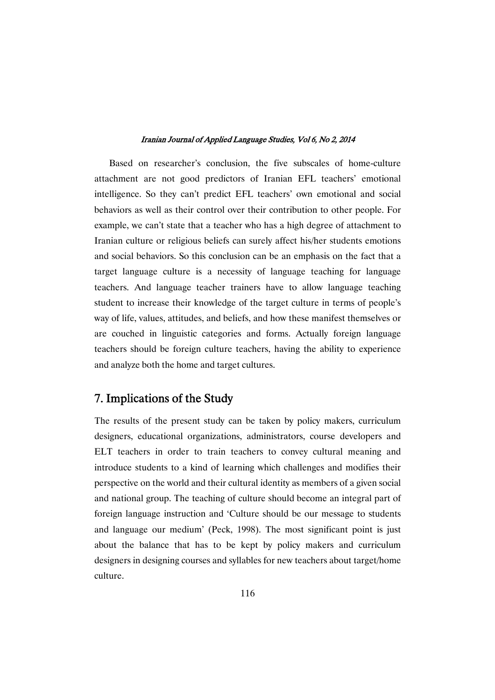Based on researcher's conclusion, the five subscales of home-culture attachment are not good predictors of Iranian EFL teachers' emotional intelligence. So they can't predict EFL teachers' own emotional and social behaviors as well as their control over their contribution to other people. For example, we can't state that a teacher who has a high degree of attachment to Iranian culture or religious beliefs can surely affect his/her students emotions and social behaviors. So this conclusion can be an emphasis on the fact that a target language culture is a necessity of language teaching for language teachers. And language teacher trainers have to allow language teaching student to increase their knowledge of the target culture in terms of people's way of life, values, attitudes, and beliefs, and how these manifest themselves or are couched in linguistic categories and forms. Actually foreign language teachers should be foreign culture teachers, having the ability to experience and analyze both the home and target cultures.

# 7. Implications of the Study

The results of the present study can be taken by policy makers, curriculum designers, educational organizations, administrators, course developers and ELT teachers in order to train teachers to convey cultural meaning and introduce students to a kind of learning which challenges and modifies their perspective on the world and their cultural identity as members of a given social and national group. The teaching of culture should become an integral part of foreign language instruction and 'Culture should be our message to students and language our medium' (Peck, 1998). The most significant point is just about the balance that has to be kept by policy makers and curriculum designers in designing courses and syllables for new teachers about target/home culture.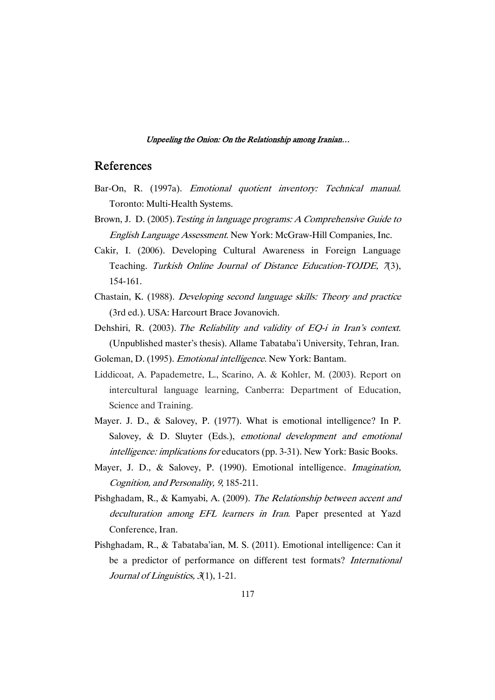## References

- Bar-On, R. (1997a). Emotional quotient inventory: Technical manual. Toronto: Multi-Health Systems.
- Brown, J. D. (2005). Testing in language programs: A Comprehensive Guide to English Language Assessment. New York: McGraw-Hill Companies, Inc.
- Cakir, I. (2006). Developing Cultural Awareness in Foreign Language Teaching. Turkish Online Journal of Distance Education-TOJDE, 7(3), 154-161.
- Chastain, K. (1988). Developing second language skills: Theory and practice (3rd ed.). USA: Harcourt Brace Jovanovich.
- Dehshiri, R. (2003). The Reliability and validity of EQ-i in Iran's context. (Unpublished master's thesis). Allame Tabataba'i University, Tehran, Iran.
- Goleman, D. (1995). Emotional intelligence. New York: Bantam.
- Liddicoat, A. Papademetre, L., Scarino, A. & Kohler, M. (2003). Report on intercultural language learning, Canberra: Department of Education, Science and Training.
- Mayer. J. D., & Salovey, P. (1977). What is emotional intelligence? In P. Salovey, & D. Sluyter (Eds.), emotional development and emotional intelligence: implications for educators (pp. 3-31). New York: Basic Books.
- Mayer, J. D., & Salovey, P. (1990). Emotional intelligence. Imagination, Cognition, and Personality, <sup>9</sup>, 185-211.
- Pishghadam, R., & Kamyabi, A. (2009). The Relationship between accent and deculturation among EFL learners in Iran. Paper presented at Yazd Conference, Iran.
- Pishghadam, R., & Tabataba'ian, M. S. (2011). Emotional intelligence: Can it be a predictor of performance on different test formats? International Journal of Linguistics, <sup>3</sup>(1), 1-21.